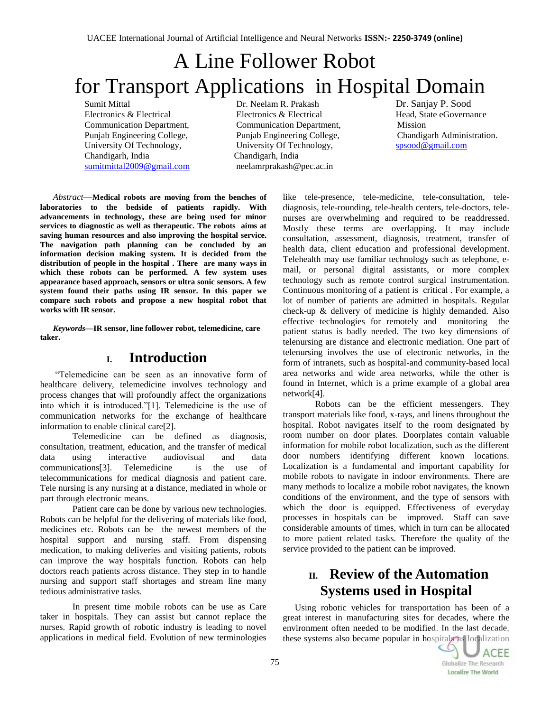# A Line Follower Robot for Transport Applications in Hospital Domain

Sumit Mittal Dr. Neelam R. Prakash Dr. Sanjay P. Sood Electronics & Electrical Electronics & Electronics & Electrical Head, State eGovernance Communication Department, Communication Department, Mission Punjab Engineering College, Punjab Engineering College, Chandigarh Administration. University Of Technology, University Of Technology, [spsood@gmail.com](https://mail.google.com/mail/h/h7m7kah2s4t7/?v=b&cs=wh&to=spsood@gmail.com) Chandigarh, India Chandigarh, India [sumitmittal2009@gmail.com](mailto:sumitmittal2009@gmail.com) neelamrprakash@pec.ac.in

*Abstract*—**Medical robots are moving from the benches of laboratories to the bedside of patients rapidly. With advancements in technology, these are being used for minor services to diagnostic as well as therapeutic. The robots aims at saving human resources and also improving the hospital service. The navigation path planning can be concluded by an information decision making system. It is decided from the distribution of people in the hospital . There are many ways in which these robots can be performed. A few system uses appearance based approach, sensors or ultra sonic sensors. A few system found their paths using IR sensor. In this paper we compare such robots and propose a new hospital robot that works with IR sensor.**

*Keywords***—IR sensor, line follower robot, telemedicine, care taker.**

## **I. Introduction**

―Telemedicine can be seen as an innovative form of healthcare delivery, telemedicine involves technology and process changes that will profoundly affect the organizations into which it is introduced."[1]. Telemedicine is the use of communication networks for the exchange of healthcare information to enable clinical care[2].

Telemedicine can be defined as diagnosis, consultation, treatment, education, and the transfer of medical data using interactive audiovisual and data communications[3]. Telemedicine is the use of telecommunications for medical diagnosis and patient care. Tele nursing is any nursing at a distance, mediated in whole or part through electronic means.

Patient care can be done by various new technologies. Robots can be helpful for the delivering of materials like food, medicines etc. Robots can be the newest members of the hospital support and nursing staff. From dispensing medication, to making deliveries and visiting patients, robots can improve the way hospitals function. Robots can help doctors reach patients across distance. They step in to handle nursing and support staff shortages and stream line many tedious administrative tasks.

In present time mobile robots can be use as Care taker in hospitals. They can assist but cannot replace the nurses. Rapid growth of robotic industry is leading to novel applications in medical field. Evolution of new terminologies like tele-presence, tele-medicine, tele-consultation, telediagnosis, tele-rounding, tele-health centers, tele-doctors, telenurses are overwhelming and required to be readdressed. Mostly these terms are overlapping. It may include consultation, assessment, diagnosis, treatment, transfer of health data, client education and professional development. Telehealth may use familiar technology such as telephone, email, or personal digital assistants, or more complex technology such as remote control surgical instrumentation. Continuous monitoring of a patient is critical . For example, a lot of number of patients are admitted in hospitals. Regular check-up & delivery of medicine is highly demanded. Also effective technologies for remotely and monitoring the patient status is badly needed. The two key dimensions of telenursing are distance and electronic mediation. One part of telenursing involves the use of electronic networks, in the form of intranets, such as hospital-and community-based local area networks and wide area networks, while the other is found in Internet, which is a prime example of a global area network[4].

Robots can be the efficient messengers. They transport materials like food, x-rays, and linens throughout the hospital. Robot navigates itself to the room designated by room number on door plates. Doorplates contain valuable information for mobile robot localization, such as the different door numbers identifying different known locations. Localization is a fundamental and important capability for mobile robots to navigate in indoor environments. There are many methods to localize a mobile robot navigates, the known conditions of the environment, and the type of sensors with which the door is equipped. Effectiveness of everyday processes in hospitals can be improved. Staff can save considerable amounts of times, which in turn can be allocated to more patient related tasks. Therefore the quality of the service provided to the patient can be improved.

# **II. Review of the Automation Systems used in Hospital**

Using robotic vehicles for transportation has been of a great interest in manufacturing sites for decades, where the environment often needed to be modified. In the last decade, these systems also became popular in hospitals as localization

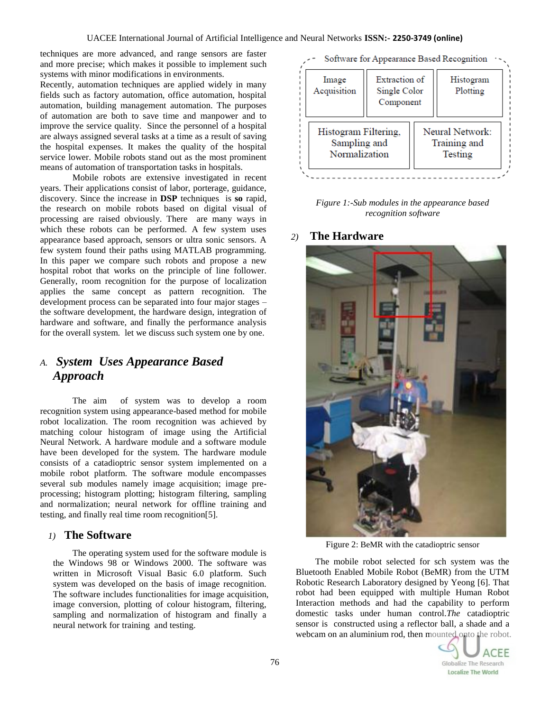techniques are more advanced, and range sensors are faster and more precise; which makes it possible to implement such systems with minor modifications in environments.

Recently, automation techniques are applied widely in many fields such as factory automation, office automation, hospital automation, building management automation. The purposes of automation are both to save time and manpower and to improve the service quality. Since the personnel of a hospital are always assigned several tasks at a time as a result of saving the hospital expenses. It makes the quality of the hospital service lower. Mobile robots stand out as the most prominent means of automation of transportation tasks in hospitals.

Mobile robots are extensive investigated in recent years. Their applications consist of labor, porterage, guidance, discovery. Since the increase in **DSP** techniques is **so** rapid, the research on mobile robots based on digital visual of processing are raised obviously. There are many ways in which these robots can be performed. A few system uses appearance based approach, sensors or ultra sonic sensors. A few system found their paths using MATLAB programming. In this paper we compare such robots and propose a new hospital robot that works on the principle of line follower. Generally, room recognition for the purpose of localization applies the same concept as pattern recognition. The development process can be separated into four major stages – the software development, the hardware design, integration of hardware and software, and finally the performance analysis for the overall system. let we discuss such system one by one.

# *A. System Uses Appearance Based Approach*

The aim of system was to develop a room recognition system using appearance-based method for mobile robot localization. The room recognition was achieved by matching colour histogram of image using the Artificial Neural Network. A hardware module and a software module have been developed for the system. The hardware module consists of a catadioptric sensor system implemented on a mobile robot platform. The software module encompasses several sub modules namely image acquisition; image preprocessing; histogram plotting; histogram filtering, sampling and normalization; neural network for offline training and testing, and finally real time room recognition[5].

## *1)* **The Software**

The operating system used for the software module is the Windows 98 or Windows 2000. The software was written in Microsoft Visual Basic 6.0 platform. Such system was developed on the basis of image recognition. The software includes functionalities for image acquisition, image conversion, plotting of colour histogram, filtering, sampling and normalization of histogram and finally a neural network for training and testing.

|                      |                                            |                 | Software for Appearance Based Recognition |
|----------------------|--------------------------------------------|-----------------|-------------------------------------------|
| Image<br>Acquisition | Extraction of<br>Single Color<br>Component |                 | Histogram<br>Plotting                     |
| Histogram Filtering, |                                            | Neural Network: |                                           |

Training and

Testing

*Figure 1:-Sub modules in the appearance based recognition software*

#### *2)* **The Hardware**

Sampling and

Normalization



Figure 2: BeMR with the catadioptric sensor

The mobile robot selected for sch system was the Bluetooth Enabled Mobile Robot (BeMR) from the UTM Robotic Research Laboratory designed by Yeong [6]. That robot had been equipped with multiple Human Robot Interaction methods and had the capability to perform domestic tasks under human control.*The* catadioptric sensor is constructed using a reflector ball, a shade and a webcam on an aluminium rod, then mounted onto the robot.

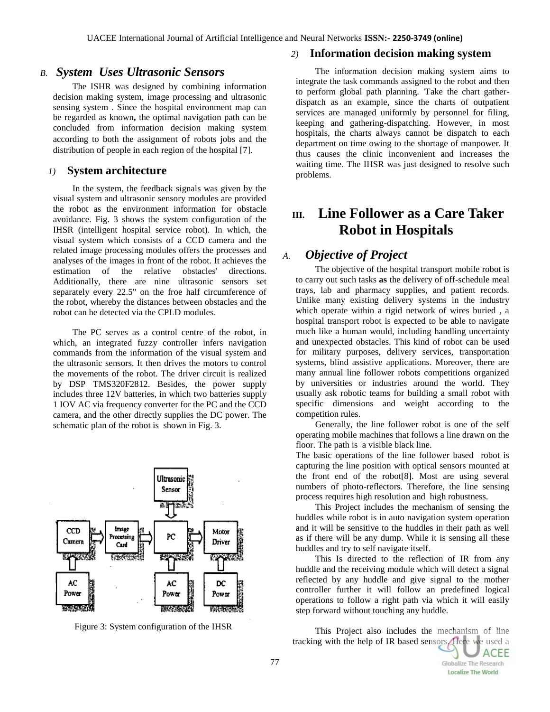#### *B. System Uses Ultrasonic Sensors*

The ISHR was designed by combining information decision making system, image processing and ultrasonic sensing system . Since the hospital environment map can be regarded as known**,** the optimal navigation path can be concluded from information decision making system according to both the assignment of robots jobs and the distribution of people in each region of the hospital [7].

#### *1)* **System architecture**

In the system, the feedback signals was given by the visual system and ultrasonic sensory modules are provided the robot as the environment information for obstacle avoidance. Fig. 3 shows the system configuration of the IHSR (intelligent hospital service robot). In which, the visual system which consists of a CCD camera and the related image processing modules offers the processes and analyses of the images in front of the robot. It achieves the estimation of the relative obstacles' directions. Additionally, there are nine ultrasonic sensors set separately every 22.5" on the froe half circumference of the robot, whereby the distances between obstacles and the robot can he detected via the CPLD modules.

The PC serves as a control centre of the robot, in which, an integrated fuzzy controller infers navigation commands from the information of the visual system and the ultrasonic sensors. It then drives the motors to control the movements of the robot. The driver circuit is realized by DSP TMS320F2812. Besides, the power supply includes three 12V batteries, in which two batteries supply 1 IOV AC via frequency converter for the PC and the CCD camera, and the other directly supplies the DC power. The schematic plan of the robot is shown in Fig. 3.



Figure 3: System configuration of the IHSR

#### *2)* **Information decision making system**

The information decision making system aims to integrate the task commands assigned to the robot and then to perform global path planning. 'Take the chart gatherdispatch as an example, since the charts of outpatient services are managed uniformly by personnel for filing, keeping and gathering-dispatching. However, in most hospitals, the charts always cannot be dispatch to each department on time owing to the shortage of manpower. It thus causes the clinic inconvenient and increases the waiting time. The IHSR was just designed to resolve such problems.

# **III. Line Follower as a Care Taker Robot in Hospitals**

# *A. Objective of Project*

 The objective of the hospital transport mobile robot is to carry out such tasks **as** the delivery of off-schedule meal trays, lab and pharmacy supplies, and patient records. Unlike many existing delivery systems in the industry which operate within a rigid network of wires buried , a hospital transport robot is expected to be able to navigate much like a human would, including handling uncertainty and unexpected obstacles. This kind of robot can be used for military purposes, delivery services, transportation systems, blind assistive applications. Moreover, there are many annual line follower robots competitions organized by universities or industries around the world. They usually ask robotic teams for building a small robot with specific dimensions and weight according to the competition rules.

Generally, the line follower robot is one of the self operating mobile machines that follows a line drawn on the floor. The path is a visible black line.

The basic operations of the line follower based robot is capturing the line position with optical sensors mounted at the front end of the robot[8]. Most are using several numbers of photo-reflectors. Therefore, the line sensing process requires high resolution and high robustness.

This Project includes the mechanism of sensing the huddles while robot is in auto navigation system operation and it will be sensitive to the huddles in their path as well as if there will be any dump. While it is sensing all these huddles and try to self navigate itself.

This Is directed to the reflection of IR from any huddle and the receiving module which will detect a signal reflected by any huddle and give signal to the mother controller further it will follow an predefined logical operations to follow a right path via which it will easily step forward without touching any huddle.

This Project also includes the mechanism of line tracking with the help of IR based sensors. Here we used a

**ACEE** 

Globalize The Research **Localize The World** 

77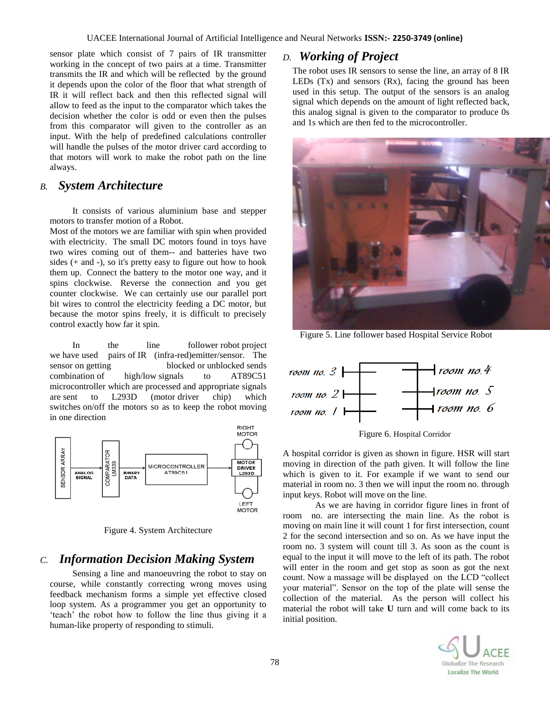sensor plate which consist of 7 pairs of IR transmitter working in the concept of two pairs at a time. Transmitter transmits the IR and which will be reflected by the ground it depends upon the color of the floor that what strength of IR it will reflect back and then this reflected signal will allow to feed as the input to the comparator which takes the decision whether the color is odd or even then the pulses from this comparator will given to the controller as an input. With the help of predefined calculations controller will handle the pulses of the motor driver card according to that motors will work to make the robot path on the line always.

## *B. System Architecture*

It consists of various aluminium base and stepper motors to transfer motion of a Robot.

Most of the motors we are familiar with spin when provided with electricity. The small DC motors found in toys have two wires coming out of them-- and batteries have two sides (+ and -), so it's pretty easy to figure out how to hook them up. Connect the battery to the motor one way, and it spins clockwise. Reverse the connection and you get counter clockwise. We can certainly use our parallel port bit wires to control the electricity feeding a DC motor, but because the motor spins freely, it is difficult to precisely control exactly how far it spin.

In the line follower robot project we have used pairs of IR (infra-red)emitter/sensor. The sensor on getting blocked or unblocked sends combination of high/low signals to AT89C51 microcontroller which are processed and appropriate signals are sent to L293D (motor driver chip) which switches on/off the motors so as to keep the robot moving in one direction



Figure 4. System Architecture

## *C. Information Decision Making System*

Sensing a line and manoeuvring the robot to stay on course, while constantly correcting wrong moves using feedback mechanism forms a simple yet effective closed loop system. As a programmer you get an opportunity to ‗teach' the robot how to follow the line thus giving it a human-like property of responding to stimuli.

## *D. Working of Project*

The robot uses IR sensors to sense the line, an array of 8 IR LEDs  $(Tx)$  and sensors  $(Rx)$ , facing the ground has been used in this setup. The output of the sensors is an analog signal which depends on the amount of light reflected back, this analog signal is given to the comparator to produce 0s and 1s which are then fed to the microcontroller.



Figure 5. Line follower based Hospital Service Robot



Figure 6. Hospital Corridor

A hospital corridor is given as shown in figure. HSR will start moving in direction of the path given. It will follow the line which is given to it. For example if we want to send our material in room no. 3 then we will input the room no. through input keys. Robot will move on the line.

As we are having in corridor figure lines in front of room no. are intersecting the main line. As the robot is moving on main line it will count 1 for first intersection, count 2 for the second intersection and so on. As we have input the room no. 3 system will count till 3. As soon as the count is equal to the input it will move to the left of its path. The robot will enter in the room and get stop as soon as got the next count. Now a massage will be displayed on the LCD "collect your material". Sensor on the top of the plate will sense the collection of the material. As the person will collect his material the robot will take **U** turn and will come back to its initial position.